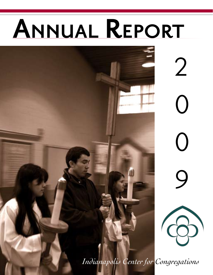# **Annual Report**



*Indianapolis Center for Congregations*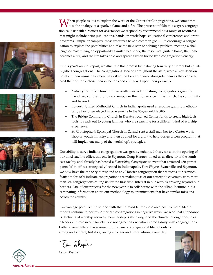Then people ask us to explain the work of the Center for Congregations, we sometimes use the analogy of a spark, a flame and a fire. The process unfolds this way: A congregation calls us with a request for assistance; we respond by recommending a range of resources that might include print publications, hands-on workshops, educational conferences and grant programs. Simple or complex, these resources have a common goal — to encourage a congregation to explore the possibilities and take the next step to solving a problem, meeting a challenge or maximizing an opportunity. Similar to a spark, the resources ignite a flame, the flame becomes a fire, and the fire takes hold and spreads when fueled by a congregation's energy.

In this year's annual report, we illustrate this process by featuring four very different but equally gifted congregations. The congregations, located throughout the state, were at key decision points in their ministries when they asked the Center to walk alongside them as they considered their options, chose their directions and embarked upon their journeys.

- Nativity Catholic Church in Evansville used a Flourishing Congregations grant to blend two cultural groups and empower them for service in the church, the community and beyond.
- Epworth United Methodist Church in Indianapolis used a resource grant to methodically plan long-delayed improvements to the 50-year-old facility.
- The Bridge Community Church in Decatur received Center funds to create high-tech tools to reach out to young families who are searching for a different kind of worship experience.
- St. Christopher's Episcopal Church in Carmel sent a staff member to a Center workshop on youth ministry and then applied for a grant to help design a teen program that will implement many of the workshop's strategies.

Our ability to serve Indiana congregations was greatly enhanced this year with the opening of our third satellite office, this one in Seymour. Doug Hanner joined us as director of the southeast facility and already has hosted a *Flourishing Congregations* event that attracted 150 participants. With offices strategically located in Indianapolis, Fort Wayne, Evansville and Seymour, we now have the capacity to respond to any Hoosier congregation that requests our services. Statistics for 2009 indicate congregations are making use of our statewide coverage, with more than 350 congregations calling us for the first time. Interest in our work is growing beyond our borders. One of our projects for the new year is to collaborate with the Alban Institute in disseminating information about our methodology to organizations that have similar missions across the country.

Our vantage point is unique, and with that in mind let me close on a positive note. Media reports continue to portray American congregations in negative ways. We read that attendance is declining at worship services, membership is shrinking, and the church no longer occupies a leadership role in our society. I do not agree. As one who interacts daily with congregations, I offer a very different assessment. In Indiana, congregational life not only is strong and vibrant, but it's growing stronger and more vibrant every day.

Din Shapiro

*Center President*











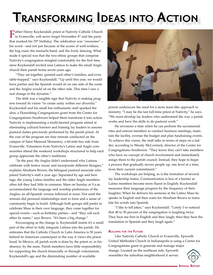## **Transforming Ideas into Action**

Father Henry Kuykendall, priest at Nativity Catholic Church in Evansville, will never forget November 4<sup>th</sup> and the party that marked his  $70<sup>th</sup>$  birthday. The celebration was "awesome"  $$ his word—and not just because of the scores of well-wishers, the hog roast, the mariachi band, and the lively dancing. What made it special was that the two ethnic groups that comprise Nativity's congregation mingled comfortably for the first time since Kuykendall invited area Latinos to make the small Anglo church their parish home seven years ago.

"They sat together, greeted each other's families, and even table-hopped," says Kuykendall. "Up until this year, we would have parties and the Spanish would sit on one side of the room and the Anglos would sit on the other side. This time I saw a real change in the dynamic."

The shift was a tangible sign that Nativity is making progress toward its vision "to create unity within our diversity." Kuykendall and his small but enthusiastic staff sparked the idea; a Flourishing Congregations grant from the Center for Congregations–Southwest helped them transform it into action. Nativity is implementing a multi-faceted program aimed at eliminating cultural barriers and training lay leaders to assume pastoral duties previously performed by the parish priest. At the core of the program are four retreats conducted on the campus of Saint Meinrad Monastery, a 60-mile bus ride from Evansville. Volunteers from Nativity's Latino and Anglo communities attend the weekend workshops structured to help each group appreciate the other's traditions.

"In the past, the Anglos didn't understand why Latinos celebrate with festive music and incorporate different liturgies," explains Abraham Brown, the bilingual pastoral associate who joined Nativity's staff a year ago. Separated by age and heritage, the young Latino families and the older Anglo members often felt they had little in common. Mass on Sunday at 9 a.m. accommodated the language and worship preferences of the Anglos; an all-Spanish version followed at noon. Not until the retreats did personal relationships start to form and a sense of community begin to build. Although both groups still prefer to celebrate Mass in their own language, they come together for special events—such as birthday parties—and "they call each other by name," says Brown. "It's been a big change."

Encouraging as the change is, Kuykendall insists it's a small part of the effort to fully integrate Latinos into the parish. He estimates that the Catholic Church in Latin America is 50 years behind its American counterpart in the way it views the priesthood. In Mexico, all parish work is done by the priest or, in his absence, by the nuns. Parish members have little responsibility for supporting the church financially or through voluntarism. Kuykendall's age and the diminishing number of available



priests underscore the need for a more team-like approach to ministry. "I may be the last full-time priest at Nativity," he says. "We must develop lay leaders who understand the way a parish works and have the skills to do pastoral work."

He envisions a time when he can perform the sacramental rites and entrust members to conduct business meetings, maintain the facility, oversee the budget and plan fundraising events. To achieve this vision, the staff talks in terms of steps on a ladder, according to Wendy McCormick, director of the Center for Congregations–Southwest. "They know they can't take members who have no concept of church involvement and immediately assign them to the parish council. Instead, they hope to begin a process that gradually moves people up, one level at a time, from their current commitment."

The workshops are helping, as is the formation of several lay leadership teams. Communication is less of a barrier as Latino members become more fluent in English. Kuykendall measures their language progress by the frequency of their laughter. When he delivers his sermons at the Latino Mass he speaks in English and then waits for Abraham Brown to translate his words into Spanish.

"I like to tell jokes," says Kuykendall. "Lately I've noticed that 40 to 50 percent of the congregation is laughing twice. They hear me first in English and they laugh; then they hear the translation in Spanish and they laugh again."

#### **Building for the Future**

Like Nativity Catholic Church in Evansville, Epworth United Methodist Church in Indianapolis is using a Center for Congregations grant to generate and manage major change. Located on the northeast side, Epworth resembles the suburban neighborhood it serves.

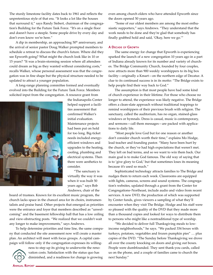The sturdy limestone facility dates back to 1961 and reflects the unpretentious style of that era. "It looks a lot like the houses that surround it," says Randy Siebert, chairman of the congregation's Building for the Future Task Force. "It's on a single floor and doesn't have a steeple. Some people drive by every day and don't even know we're here."

A dip in membership, an approaching  $50<sup>th</sup>$  anniversary, and the arrival of senior pastor Doug Walker prompted members to schedule a retreat to discuss the church's future. Where did they see Epworth going? What might the church look like in 10 or 15 years? "It was a brain-storming session where all attendees could dream as big as they wanted without considering costs," recalls Walker, whose personal assessment was that the congregation was in fine shape but the physical structure needed to be updated to attract a younger population.

A long-range planning committee formed and eventually evolved into the Building for the Future Task Force. Members solicited input from the congregation. A resource grant from



the Indianapolis Center helped support a facilities assessment that confirmed Walker's initial evaluation. Maintenance projects had been put on hold for too long. Big-ticket needs included energyefficient windows and upgrades to the heating, cooling, plumbing and electrical systems. Then there were aesthetics to consider.

"The sanctuary is virtually the way it was when it was built 50 years ago," says Bob Andrews, chair of the

board of trustees. Known for its excellent music program, the church lacks space in the chancel area for its choirs, instrumentalists and praise band. Other projects that emerged as priorities were the entrance and foyer that members described as "unwelcoming" and the basement fellowship hall that has a low ceiling and view-obstructing posts. "We realized that we couldn't wait any longer to make improvements," says Andrews.

To help determine priorities and time line, the same company that conducted the site assessment now will create a master plan. An architect will meet with focus groups. A capital campaign will follow only if the congregation expresses its willing-



ness to step up its giving to underwrite the renovation costs. Satisfaction with the status quo has diminished, and a readiness for change is growing even among church elders who have attended Epworth since the doors opened 50 years ago.

"Some of our oldest members are among the most enthusiastic supporters," says Andrews. "They understand that the work needs to be done and they're glad that somebody has finally grabbed hold and said, 'Okay, here we go.'"

#### **A Decade of Growth**

The same energy for change that Epworth is experiencing sparked the launch of a new congregation 10 years ago in a part of Indiana already known for its number and variety of churches. The Bridge Community Church, founded by four couples, now attracts more than 900 weekly worshippers to its big box facility—originally a Kmart—on the northern edge of Decatur. A clue to its continued success is in its motto: "The Bridge exists to help people find their way back to God."

The assumption is that most people have had some kind of church experience in their lifetime. For those who choose no longer to attend, the experience was likely negative. The Bridge offers a clean-slate approach without traditional trappings to remind worshippers of their previous brush with religion. The sanctuary, called the auditorium, has no organ, stained-glass windows or hymnals. Dress is casual, music is contemporary, and sermons—call them messages—are packed with applications to daily life.

"Most people love God but for one reason or another don't consider church worth their time," explains Mo Hodge, lead teacher and founding pastor. "Many have been hurt by the church, or they've had high expectations that weren't met. They left on bad terms, and so we want to win them back. Our main goal is to make God famous. The old way of saying that is to 'give glory to God,' but that sometimes loses its meaning because it's used so much."

Sophisticated technology attracts families to The Bridge and nudges them to return each week. Classrooms are equipped with lights, cameras, screens and sound systems. The congregation's websites, updated through a grant from the Center for Congregations–Northeast, include audio and video from recent services. A new DVD, the production of which was supported by Center funds, gives viewers a sampling of what they'll encounter when they visit The Bridge. Hodge and his staff were so pleased with the quality of the DVD that they made more than a thousand copies and looked for ways to distribute them to persons who might like a nontraditional type of worship.

"We decided to deliver full Thanksgiving meals to lowincome neighborhoods," he says. "We packed 334 boxes with turkeys, potatoes, vegetables and frozen pumpkin pies" … plus copies of the DVD. "The Sunday before Thanksgiving we drove all over the county knocking on doors and giving out boxes. People were dumbfounded. They sent thank-you cards, called us on the phone, and a couple of families came to church the next Sunday."

**ANNUAL REPORT**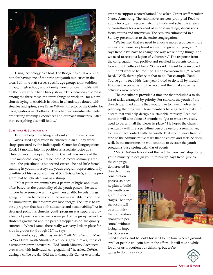

Using technology as a tool, The Bridge has built a reputation for having one of the strongest youth ministries in the area. Full-time staff serves specific age groups from toddlers through high school, and a family worship hour unfolds with all the pizzazz of a live Disney show. "This focus on children is among the three most important things to work on" for a new church trying to establish its niche in a landscape dotted with steeples and spires, says Brian Witwer, director of the Center for Congregations — Northeast. The other two essential elements are "strong worship experiences and outreach ministries. After that, everything else will follow."

#### **Substance & Sustainability**

Finding help in building a vibrant youth ministry was C. Davies Reed's goal when he enrolled in an all-day workshop sponsored by the Indianapolis Center for Congregations. Reed, 18 months into his position as associate rector at St. Christopher's Episcopal Church in Carmel, was aware of the three major challenges that he faced. A recent seminary graduate—the priesthood is his second career—he had little formal training in youth ministry; the youth program represented only one-third of his responsibilities at St. Christopher's; and the program that he inherited was in a slump.

"Most youth programs have a pattern of highs and lows, often based on the personality of the youth pastor," he says. "If you have someone with a great personality, he gets things going, but then he moves on. If no one is available to continue the momentum, the program can lose energy. The key is to create a program that has both substance and sustainability." At its strongest point, his church's youth program was supervised by a team of parents whose teens were part of the group. After the students graduated and the parents stepped aside, the quality suffered. "When I came, there really was very little in place for kids in grades six through 12," he says.

The workshop, called *Sustainable Youth Ministry* with Mark DeVries from Youth Ministry Architects, gave him a glimpse of a strong program's structure. "Did Youth Ministry Architects ever work with individual congregations?" he asked DeVries during a coffee break. "Did the Indianapolis Center ever make

grants to support a consultation?" he asked Center staff member Nancy Armstrong. The affirmative answers prompted Reed to apply for a grant, secure matching funds and schedule a team of consultants for a weekend of intense meetings, discussions, focus groups and interviews. The sessions culminated in a Sunday presentation to the entire congregation.

"We learned that we need to allocate more resources—more money and more people—if we want to grow our program," says Reed. "We have to change the way we're doing things, and we need to recruit a legion of volunteers." The response from the congregation was positive and resulted in parents coming forward with offers of help. "Some said, 'I want to be involved but I don't want to be frontline. I'll do backroom stuff,'" recalls Reed. "Well, there's plenty of that to do. For example: Food. You've got to feed kids. Last year, I tried to do it all by myself. I'd order the pizza, set up the room and then make sure the activities were ready."

 The consultants provided a timeline that included a to-do list of tasks, arranged by priority. For starters, the youth of the church identified adults they would like to have involved in planning the program. Those members have agreed to make up a team that will help design a sustainable ministry. Reed estimates it will take about 18 months to "get to where we really need to be, with all the pieces in place." He hopes the church eventually will hire a part-time person, possibly a seminarian, to have direct contact with the youth. That would leave Reed to tend to the administrative tasks that he enjoys and feels he does well. In the meantime, he will continue to oversee the youth program's busy spring calendar of events.

"Mark DeVries talks about the fact that you can't stop doing youth ministry to design youth ministry," says Reed. Just as the congrega-

tion erected its church in three construction phases, so does he plan to build the youth program in specific stages. He hopes the result will be a ministry that can sustain changes in personnel without losing its impetus. Success will



breed success, and he looks forward to the time when a groundswell of people will join him in the effort. "It will take a while for all of us to reorient our thinking, but we're going to do this as a community."

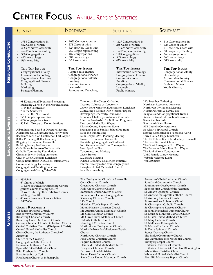### **Center Focus** Annual Report Statistics

| CENTRAL                                                                                                                                                                                                                                                                                                                                                                                                                                                                                                                                                                                                                                                                                                                                                                                                                          | <b>NORTHEAST</b>                                                                                                                                                                                                                                                                                                                                                                                                                                                                                                                                                                                                                                                                                                                                                                                   | <b>SOUTHWEST</b>                                                                                                                                                           | <b>SOUTHEAST</b>                                                                                                                                                                                                                                                                                                                                                                                                                                                                                                                                                                                                                                                                   |  |
|----------------------------------------------------------------------------------------------------------------------------------------------------------------------------------------------------------------------------------------------------------------------------------------------------------------------------------------------------------------------------------------------------------------------------------------------------------------------------------------------------------------------------------------------------------------------------------------------------------------------------------------------------------------------------------------------------------------------------------------------------------------------------------------------------------------------------------|----------------------------------------------------------------------------------------------------------------------------------------------------------------------------------------------------------------------------------------------------------------------------------------------------------------------------------------------------------------------------------------------------------------------------------------------------------------------------------------------------------------------------------------------------------------------------------------------------------------------------------------------------------------------------------------------------------------------------------------------------------------------------------------------------|----------------------------------------------------------------------------------------------------------------------------------------------------------------------------|------------------------------------------------------------------------------------------------------------------------------------------------------------------------------------------------------------------------------------------------------------------------------------------------------------------------------------------------------------------------------------------------------------------------------------------------------------------------------------------------------------------------------------------------------------------------------------------------------------------------------------------------------------------------------------|--|
| 3758 Conversations in<br>642 Cases of which<br>308 are New Cases with<br>494 People representing<br>308 Congregations<br>44% were clergy<br>56% were laity                                                                                                                                                                                                                                                                                                                                                                                                                                                                                                                                                                                                                                                                       | 1030 Conversations in<br>371 Cases of which<br>327 are New Cases with<br>269 People representing<br>$\bullet$<br>189 Congregations<br>$\bullet$<br>68% were clergy<br>$\bullet$<br>32% were laity<br>$\bullet$                                                                                                                                                                                                                                                                                                                                                                                                                                                                                                                                                                                     | • 1427 Conversations in<br>• 258 Cases of which<br>• 183 are New Cases with<br>• 192 People representing<br>• 120 Congregations<br>• 58% were clergy<br>• 42% were laity   | • 516 Conversations in<br>128 Cases of which<br>110 are New Cases with<br>83 People representing<br>66 Congregations<br>$\bullet$<br>66% were clergy<br>$\bullet$<br>34% were laity                                                                                                                                                                                                                                                                                                                                                                                                                                                                                                |  |
| <b>THE TOP ISSUES</b><br>Congregational Vitality<br>Information Technology<br>Organizational Learning<br>Congregational Finance<br>Building<br>Marketing<br>Strategic Planning                                                                                                                                                                                                                                                                                                                                                                                                                                                                                                                                                                                                                                                   | <b>THE TOP ISSUES</b><br>Appreciative Inquiry<br>Congregational Finance<br>Congregational Vitality<br>Building<br>Communications<br>Leadership<br>Sermons and Preaching                                                                                                                                                                                                                                                                                                                                                                                                                                                                                                                                                                                                                            | <b>THE TOP ISSUES</b><br><b>Information Technology</b><br>Congregational Finance<br>Communications<br>Building<br>Congregational Vitality<br>Leadership<br>Public Ministry | <b>THE TOP ISSUES</b><br>Congregational Vitality<br>Stewardship<br>Appreciative Inquiry<br>Congregational Finance<br>Faith and Money<br>Youth Ministry                                                                                                                                                                                                                                                                                                                                                                                                                                                                                                                             |  |
| 98 Educational Events and Meetings<br>Including 24 held in the Northeast area<br>17 in the Southwest<br>7 in the Southeast<br>$\bullet$<br>and 5 in the Northwest<br>$\bullet$<br>1711 People representing<br>685 Congregations from<br>86 Faith Groups or Denominations<br>Alban Institute Board of Directors Meeting<br>Aldersgate UMC Staff Meeting, Fort Wayne<br>Bachelor Creek Staff Conference, Fort Wayne<br>Better Preaching, Better Listening<br>Blogging Invitational, Evansville<br>Building Issues, Fort Wayne<br>Catholic Archdiocese of Indianapolis<br>Catholic Community Foundation<br>Christian-Jewish Dialog Luncheon<br>Church Choir Directors Luncheon<br>Clergy Roundtable Discussion, Jeffersonville<br>Columbus Clergy Gathering<br>Congregational Building Luncheon<br>Congregational Giving Table Talk | Crawfordsville Clergy Gathering<br>Creating Cultures of Generosity<br>Cultivating a Church with Vibrant Purpose<br>Developing Generosity, Evansville<br>Economic Challenges Advisory Committee<br>Effective Leadership for Building Programs<br>Electronic Media, Fort Wayne<br>Elkhart County Expansion Event<br>Energizing Your Sunday School Program<br>Faith and Fundraising<br>Faith Chapel UMC Planning Meeting<br>Finance Invitational, Evansville<br>Flourishing Congregations Southeast<br>Four Generations in Your Congregation<br>From Spark to Fire<br>Governance and Ministry<br><b>Green Stories</b><br><b>ICC Board Meeting</b><br>Indiana Economic Challenges Initiative<br>Internet Strategies for Your Congregation<br>Irvington United Methodist Church<br>Let's Talk Preaching | Crown Point Ministerial Assocation Luncheon                                                                                                                                | Life Together Gathering<br>Northeast Resources Luncheon<br>Northwest Invitational Meeting<br>Nurturing Faith & Family Life<br>Religious and Congregational Trends<br><b>Resource Grant Information Sessions</b><br>Samaritan Institute<br>Southwest Open House<br><b>SPE Catholic Conversations</b><br>St. Alban's Episcopal Church<br>Staying Connected in a Facebook World<br>Terre Haute Clergy Luncheon<br>The 1% Rule of Board Leadership, Evansville<br>The Essential Small Church<br>The Great Emergence, Fort Wayne<br>The Pastor as Minor Poet, Fort Wayne<br>The Soul of Your Congregation<br><b>UMC Female Clergy Meeting</b><br>Wabash Welcome Event<br>Web 2.0 Bistro |  |

- 67 Grants of which
- 10 were Southwest Flourishing Congregations Grants totaling \$56,375
- 14 were Life Together Initiative Grants totaling \$367,108
- 43 were Resource Grants totaling \$407,666

#### **Grant Recipients**

All Saints Episcopal Church BridgeWay Community Church Broadway Christian Church Broadway United Methodist Church Calvary Christian Church of Hartford City Inc. Central Christian Church (Disciples of Christ) Central United Methodist Church Christ Church, the Lutheran Church of Zionsville Church at the Crossing Congregation Beth-El Zedeck Emmanuel Lutheran Church Epworth United Methodist Church Faith Presbyterian Church First Assembly of God First Baptist Church of Indianapolis

First Presbyterian Church of Evansville Geist Christian Church Greenwood Christian Church Holy Cross Catholic Church Immanuel United Church of Christ Indianapolis Hebrew Congregation Kingsway Christian Church Life Church Meridian Woods Baptist Church Mount Pleasant Christian Church Mt. Auburn United Methodist Church Mt. Olive Lutheran Church Mt. Olive United Methodist Church Nativity Catholic Church New Light Christian Church Northminster Presbyterian Church Northside New Era Missionary Baptist Church Northwood Christian Church Park Chapel Christian Church Pilgrim Lutheran Church Plainfield United Methodist Church Poseyville Christian Church Purpose of Life Ministries Sacred Heart Catholic Church Santa Claus United Methodist Church

Servants of Christ Lutheran Church Southland Community Church Southminster Presbyterian Church Spencer First Church of the Nazarene St. Alban's Episcopal Church St. Andrew the Apostle Catholic Church St. Anthony Catholic Church St. Augustine's Episcopal Church St. Christopher Catholic Church St. Christopher's Episcopal Church St. John Evangelical Lutheran Church St. Louis de Montfort Catholic Church St. Luke's United Methodist Church St. Mary Catholic Church St. Matthew's Episcopal Church St. Michael Lutheran Church St. Paul's Episcopal Church Stones Crossing Church The Bridge Community Church The Lighthouse Free Methodist Church Trinity Episcopal Church Unitarian Universalist Church Unitarian Universalist Church of Bloomington White River Christian Church Whiteland United Methodist Church Zion Hill Missionary Baptist Church

**Resource Consultin g**

## **Educational E** CATIONAL EVENTS

i<br>Se

**Grants**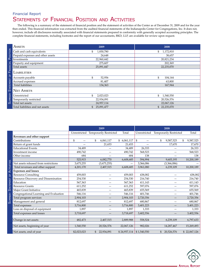#### STATEMENTS OF FINANCIAL POSITION AND ACTIVITIES Financial Report

The following is a summary of the statement of financial position and the statement of activities of the Center as of December 31, 2009 and for the year then ended. This financial information was extracted from the audited financial statements of the Indianapolis Center for Congregations, Inc. It does not, however, include all disclosures normally associated with financial statements prepared in conformity with generally accepted accounting principles. The complete financial statements, including footnotes and the report of our accountants, BKD, LLP, are available for review upon request.

| <b>ASSETS</b>                     | 2009            | 2008            |
|-----------------------------------|-----------------|-----------------|
| Cash and cash equivalents         | 1,830,780<br>\$ | 1,172,810<br>\$ |
| Prepaid expenses and other assets | 24,648          | 38,657          |
| Investments                       | 22,960,442      | 20,821,234      |
| Property and equipment            | 275,607         | 202,369         |
| Total assets                      | 25,091,447      | 22,235,070      |
| <b>LIABILITIES</b>                |                 |                 |
| Accounts payable                  | \$<br>52,956    | \$<br>104,144   |
| Accrued expenses                  | 81,407          | 63,800          |
| <b>Total liabilities</b>          | 134,363         | 167,944         |
| <b>NET ASSETS</b>                 |                 |                 |
| Unrestricted                      | \$<br>2,023,023 | \$<br>1,540,550 |
| Temporarily restricted            | 22,934,091      | 20,526,576      |
| Total net assets                  | 24,957,114      | 22,067,126      |
| Total liabilities and net assets  | 25,091,477      | \$22,235,070    |

|                                        | 2009        |                                     |              | 2008         |                               |                 |
|----------------------------------------|-------------|-------------------------------------|--------------|--------------|-------------------------------|-----------------|
|                                        |             | Unrestricted Temporarily Restricted | Total        | Unrestricted | <b>Temporarily Restricted</b> | Total           |
| Revenues and other support             |             |                                     |              |              |                               |                 |
| Contributions                          | \$          | 6,061,117<br>\$                     | \$6,061,117  | \$           | \$<br>9,587,525               | 9,587,525<br>\$ |
| Return of grant funds                  |             | 21,653                              | 21,653       |              | 17,670                        | 17,670          |
| <b>Educational Events</b>              | 34,489      |                                     | 34,489       | 26,333       |                               | 26,333          |
| Investment income                      | 490,742     |                                     | 490,742      | 568,523      |                               | 568,523         |
| Other income                           | 684         |                                     | 684          | 138          |                               | 138             |
|                                        | 525,915     | 6,082,770                           | 6,608,685    | 594,994      | 9,605,195                     | 10,200,189      |
| Net assets released from restrictions  | 3,675,255   | (3,675,255)                         |              | 3,366,086    | (3,366,086)                   |                 |
| Total revenues and other support       | 4,201,170   | 2,407,515                           | 6,608,685    | 3,961,080    | 6,239,109                     | 10,200,189      |
| <b>Expenses and losses</b>             |             |                                     |              |              |                               |                 |
| <b>Resource Consulting</b>             | 459,003     |                                     | 459,003      | 438,082      |                               | 438,082         |
| Resource Discovery and Dissemination   | 254,530     |                                     | 254,530      | 216,740      |                               | 216,740         |
| Education                              | 567,363     |                                     | 567,363      | 411,143      |                               | 411,143         |
| <b>Resource Grants</b>                 | 611,252     |                                     | 611,252      | 597,076      |                               | 597,076         |
| Major Grant Initiative                 | 465,839     |                                     | 465,839      | 655,569      |                               | 655,569         |
| Congregational Learning and Evaluation | 546,116     |                                     | 546,116      | 401,746      | —                             | 401,746         |
| Total program services                 | 2,904,103   |                                     | 2,904,103    | 2,720,356    |                               | 2,720,356       |
| Management and general                 | 812,697     |                                     | 812,697      | 680,867      |                               | 680,867         |
| Total expenses                         | 3,716,800   | $\overline{\phantom{m}}$            | 3,716,800    | 3,401,223    | $\qquad \qquad -$             | 3,401,223       |
| Loss on disposal of equipment          | 1,897       |                                     | 1,897        | 1,333        |                               | 1,333           |
| Total expenses and losses              | 3,718,697   |                                     | 3,718,697    | 3,402,556    |                               | 3,402,556       |
| Change in net assets                   | 482,473     | 2,407,515                           | 2,889,988    | 558,524      | 6,239,109                     | 6,797,633       |
| Net assets, beginning of year          | 1,540,550   | 20,526,576                          | 22,067,126   | 982,026      | 14,287,467                    | 15,269,493      |
| Net assets, end of year                | \$2,023,023 | 22,934,091                          | \$24,957,114 | \$1,540,550  | \$<br>20,526,576              | \$22,067,126    |



Summary Statement of

SUMMARY STATEMENT OF ACTIVITIES

**A**CTIVITIES